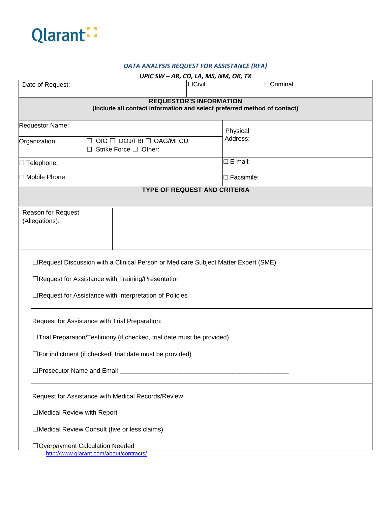

#### *DATA ANALYSIS REQUEST FOR ASSISTANCE (RFA)*

| UPIC SW - AR, CO, LA, MS, NM, OK, TX                                                                                                                                                                |                                     |                      |  |  |  |  |
|-----------------------------------------------------------------------------------------------------------------------------------------------------------------------------------------------------|-------------------------------------|----------------------|--|--|--|--|
| Date of Request:                                                                                                                                                                                    | $\Box$ Civil                        | $\Box$ Criminal      |  |  |  |  |
| <b>REQUESTOR'S INFORMATION</b><br>(Include all contact information and select preferred method of contact)                                                                                          |                                     |                      |  |  |  |  |
| Requestor Name:<br>OIG □ DOJ/FBI □ OAG/MFCU<br>Organization:<br>$\perp$<br>$\Box$ Strike Force $\Box$ Other:                                                                                        |                                     | Physical<br>Address: |  |  |  |  |
| □ Telephone:                                                                                                                                                                                        |                                     | $\Box$ E-mail:       |  |  |  |  |
| □ Mobile Phone:                                                                                                                                                                                     | $\Box$ Facsimile:                   |                      |  |  |  |  |
|                                                                                                                                                                                                     | <b>TYPE OF REQUEST AND CRITERIA</b> |                      |  |  |  |  |
| Reason for Request<br>(Allegations):                                                                                                                                                                |                                     |                      |  |  |  |  |
| □Request Discussion with a Clinical Person or Medicare Subject Matter Expert (SME)<br>□Request for Assistance with Training/Presentation<br>□Request for Assistance with Interpretation of Policies |                                     |                      |  |  |  |  |
| Request for Assistance with Trial Preparation:<br>□Trial Preparation/Testimony (if checked, trial date must be provided)<br>$\square$ For indictment (if checked, trial date must be provided)      |                                     |                      |  |  |  |  |
| Request for Assistance with Medical Records/Review<br>□Medical Review with Report                                                                                                                   |                                     |                      |  |  |  |  |
| □Medical Review Consult (five or less claims)<br>□ Overpayment Calculation Needed<br>http://www.qlarant.com/about/contracts/                                                                        |                                     |                      |  |  |  |  |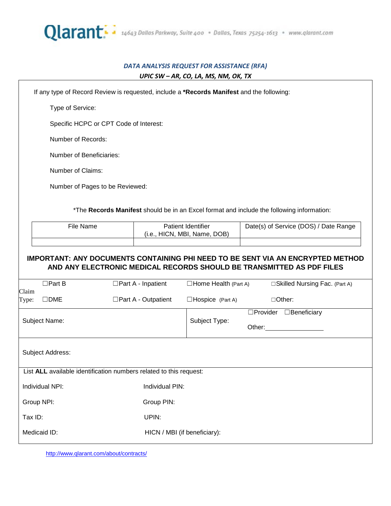

### *DATA ANALYSIS REQUEST FOR ASSISTANCE (RFA) UPIC SW – AR, CO, LA, MS, NM, OK, TX*

|                | If any type of Record Review is requested, include a *Records Manifest and the following: |                            |                                                    |                                                                                        |  |  |  |
|----------------|-------------------------------------------------------------------------------------------|----------------------------|----------------------------------------------------|----------------------------------------------------------------------------------------|--|--|--|
|                | Type of Service:                                                                          |                            |                                                    |                                                                                        |  |  |  |
|                | Specific HCPC or CPT Code of Interest:                                                    |                            |                                                    |                                                                                        |  |  |  |
|                | Number of Records:                                                                        |                            |                                                    |                                                                                        |  |  |  |
|                | Number of Beneficiaries:                                                                  |                            |                                                    |                                                                                        |  |  |  |
|                | Number of Claims:                                                                         |                            |                                                    |                                                                                        |  |  |  |
|                | Number of Pages to be Reviewed:                                                           |                            |                                                    |                                                                                        |  |  |  |
|                | *The Records Manifest should be in an Excel format and include the following information: |                            |                                                    |                                                                                        |  |  |  |
|                | File Name                                                                                 |                            | Patient Identifier<br>(i.e., HICN, MBI, Name, DOB) | Date(s) of Service (DOS) / Date Range                                                  |  |  |  |
|                |                                                                                           |                            |                                                    |                                                                                        |  |  |  |
|                |                                                                                           |                            |                                                    | <b>IMPORTANT: ANY DOCUMENTS CONTAINING PHI NEED TO BE SENT VIA AN ENCRYPTED METHOD</b> |  |  |  |
|                |                                                                                           |                            |                                                    | AND ANY ELECTRONIC MEDICAL RECORDS SHOULD BE TRANSMITTED AS PDF FILES                  |  |  |  |
|                | $\Box$ Part B                                                                             | $\Box$ Part A - Inpatient  | $\Box$ Home Health (Part A)                        | □ Skilled Nursing Fac. (Part A)                                                        |  |  |  |
| Claim<br>Type: | $\square$ DME                                                                             | $\Box$ Part A - Outpatient | $\Box$ Hospice (Part A)                            | □Other:                                                                                |  |  |  |
|                |                                                                                           |                            |                                                    | □Provider □Beneficiary                                                                 |  |  |  |
|                | Subject Name:                                                                             |                            | Subject Type:                                      | Other:                                                                                 |  |  |  |
|                | Subject Address:                                                                          |                            |                                                    |                                                                                        |  |  |  |
|                | List ALL available identification numbers related to this request:                        |                            |                                                    |                                                                                        |  |  |  |
|                | Individual NPI:                                                                           | Individual PIN:            |                                                    |                                                                                        |  |  |  |
|                | Group NPI:                                                                                | Group PIN:                 |                                                    |                                                                                        |  |  |  |
| Tax ID:        |                                                                                           | UPIN:                      |                                                    |                                                                                        |  |  |  |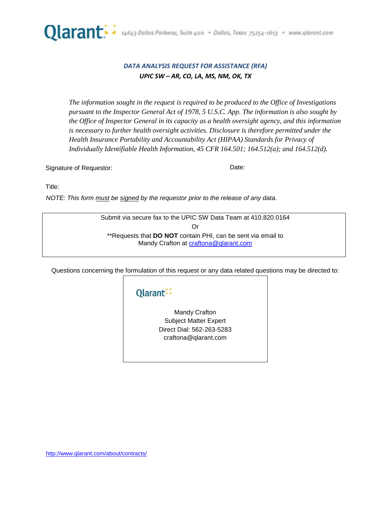

### *DATA ANALYSIS REQUEST FOR ASSISTANCE (RFA) UPIC SW – AR, CO, LA, MS, NM, OK, TX*

*The information sought in the request is required to be produced to the Office of Investigations pursuant to the Inspector General Act of 1978, 5 U.S.C. App. The information is also sought by the Office of Inspector General in its capacity as a health oversight agency, and this information is necessary to further health oversight activities. Disclosure is therefore permitted under the Health Insurance Portability and Accountability Act (HIPAA) Standards for Privacy of Individually Identifiable Health Information, 45 CFR 164.501; 164.512(a); and 164.512(d).* 

Signature of Requestor:  $\blacksquare$ 

Title:

*NOTE: This form must be signed by the requestor prior to the release of any data.*

Submit via secure fax to the UPIC SW Data Team at 410.820.0164 Or \*\*Requests that **DO NOT** contain PHI, can be sent via email to Mandy Crafton at [craftona@qlarant.com](mailto:craftona@qlarant.com)

Questions concerning the formulation of this request or any data related questions may be directed to:

# Qlarant:

Mandy Crafton Subject Matter Expert Direct Dial: 562-263-5283 craftona@qlarant.com

<http://www.qlarant.com/about/contracts/>